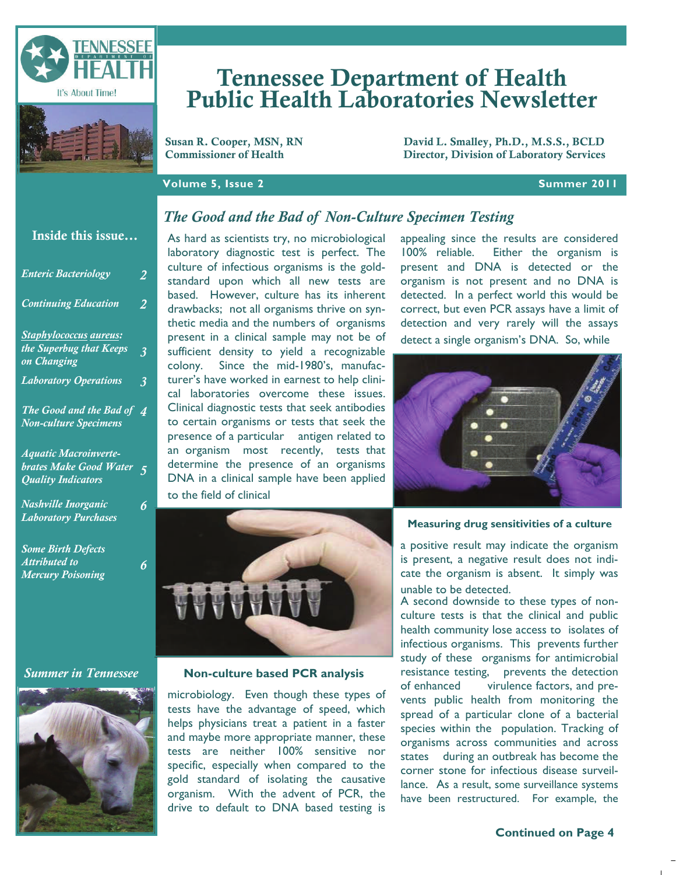

# Tennessee Department of Health Public Health Laboratories Newsletter

Susan R. Cooper, MSN, RN<br>
Commissioner of Health<br>
Director. Division of Laboratory Services Director, Division of Laboratory Services

### **Volume 5, Issue 2 Summer 2011**

## *The Good and the Bad of Non-Culture Specimen Testing*

### Inside this issue...

| <b>Enteric Bacteriology</b>                                      | 2                      |
|------------------------------------------------------------------|------------------------|
| <b>Continuing Education</b>                                      | $\mathbf{2}$           |
| Staphylococcus aureus:<br>the Superbug that Keeps<br>on Changing | 3                      |
| <b>Laboratory Operations</b>                                     | 3                      |
| The Good and the Bad of<br><b>Non-culture Specimens</b>          | $\boldsymbol{\Lambda}$ |
| <b>Aquatic Macroinverte-</b>                                     |                        |

# *brates Make Good Water 5 Quality Indicators*

*Nashville Inorganic Laboratory Purchases* 

*Some Birth Defects Attributed to Mercury Poisoning* 

### *Summer in Tennessee*



As hard as scientists try, no microbiological laboratory diagnostic test is perfect. The culture of infectious organisms is the goldstandard upon which all new tests are based. However, culture has its inherent drawbacks; not all organisms thrive on synthetic media and the numbers of organisms present in a clinical sample may not be of sufficient density to yield a recognizable colony. Since the mid-1980's, manufacturer's have worked in earnest to help clinical laboratories overcome these issues. Clinical diagnostic tests that seek antibodies to certain organisms or tests that seek the presence of a particular antigen related to an organism most recently, tests that determine the presence of an organisms DNA in a clinical sample have been applied to the field of clinical



### **Non-culture based PCR analysis**

microbiology. Even though these types of tests have the advantage of speed, which helps physicians treat a patient in a faster and maybe more appropriate manner, these tests are neither 100% sensitive nor specific, especially when compared to the gold standard of isolating the causative organism. With the advent of PCR, the drive to default to DNA based testing is

appealing since the results are considered 100% reliable. Either the organism is present and DNA is detected or the organism is not present and no DNA is detected. In a perfect world this would be correct, but even PCR assays have a limit of detection and very rarely will the assays detect a single organism's DNA. So, while



**Measuring drug sensitivities of a culture** 

a positive result may indicate the organism is present, a negative result does not indicate the organism is absent. It simply was unable to be detected.

A second downside to these types of nonculture tests is that the clinical and public health community lose access to isolates of infectious organisms. This prevents further study of these organisms for antimicrobial resistance testing, prevents the detection of enhanced virulence factors, and prevents public health from monitoring the spread of a particular clone of a bacterial species within the population. Tracking of organisms across communities and across states during an outbreak has become the corner stone for infectious disease surveillance. As a result, some surveillance systems have been restructured. For example, the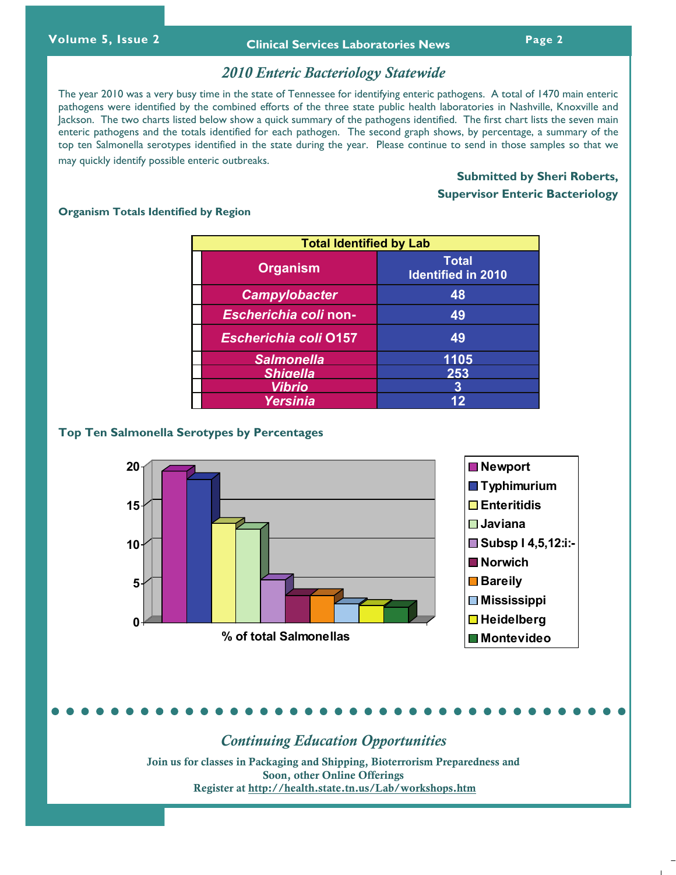### *2010 Enteric Bacteriology Statewide*

The year 2010 was a very busy time in the state of Tennessee for identifying enteric pathogens. A total of 1470 main enteric pathogens were identified by the combined efforts of the three state public health laboratories in Nashville, Knoxville and Jackson. The two charts listed below show a quick summary of the pathogens identified. The first chart lists the seven main enteric pathogens and the totals identified for each pathogen. The second graph shows, by percentage, a summary of the top ten Salmonella serotypes identified in the state during the year. Please continue to send in those samples so that we may quickly identify possible enteric outbreaks.

# **Submitted by Sheri Roberts, Supervisor Enteric Bacteriology**

### **Organism Totals Identified by Region**

| <b>Total Identified by Lab</b> |                                           |  |  |
|--------------------------------|-------------------------------------------|--|--|
| <b>Organism</b>                | <b>Total</b><br><b>Identified in 2010</b> |  |  |
| <b>Campylobacter</b>           | 48                                        |  |  |
| Escherichia coli non-          | 49                                        |  |  |
| <b>Escherichia coli 0157</b>   | 49                                        |  |  |
| <b>Salmonella</b>              | 1105                                      |  |  |
| <b>Shigella</b>                | 253                                       |  |  |
| Vibrio                         | 3                                         |  |  |
| Yersinia                       |                                           |  |  |

### **Top Ten Salmonella Serotypes by Percentages**



*Continuing Education Opportunities* 

Join us for classes in Packaging and Shipping, Bioterrorism Preparedness and Soon, other Online Offerings Register at http://health.state.tn.us/Lab/workshops.htm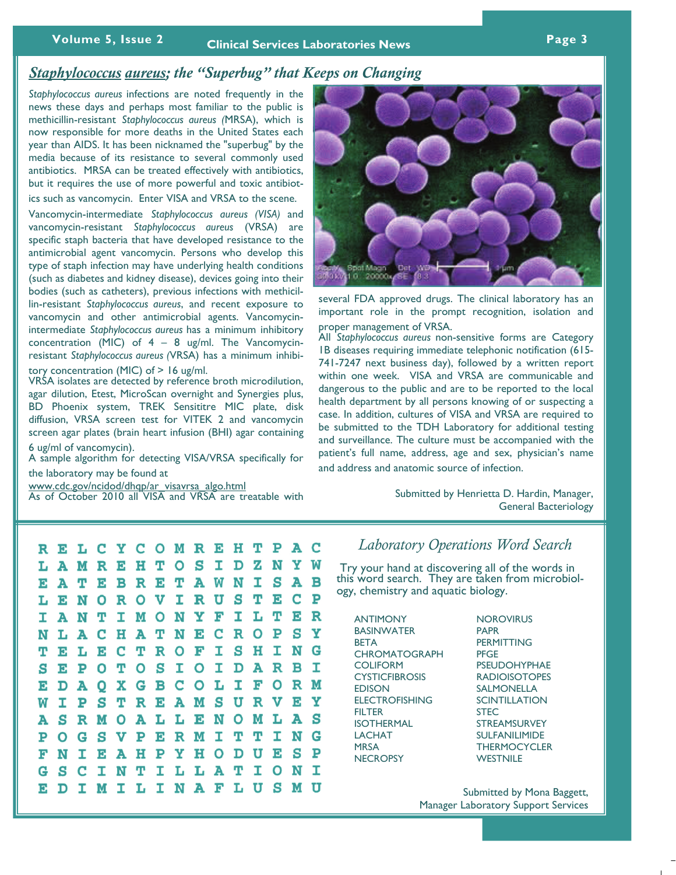# **Volume 5, Issue 2 Page 3 Clinical Services Laboratories News**

# *Staphylococcus aureus; the "Superbug" that Keeps on Changing*

*Staphylococcus aureus* infections are noted frequently in the news these days and perhaps most familiar to the public is methicillin-resistant *Staphylococcus aureus (*MRSA), which is now responsible for more deaths in the United States each year than AIDS. It has been nicknamed the "superbug" by the media because of its resistance to several commonly used antibiotics. MRSA can be treated effectively with antibiotics, but it requires the use of more powerful and toxic antibiotics such as vancomycin. Enter VISA and VRSA to the scene.

Vancomycin-i[ntermediate](http://www.healia.com/search/?q=vancomycin&sc=false) *Staphylococcus aureus (VISA)* and vancomycin-resistant *Staphylococcus aureus* (VRSA) are specific staph bacteria that have developed resistance to the antimicrobial agent vancomycin. Persons who develop this type of staph infection may have underlying health conditions (such as diabetes and kidney disease), devices going into their bodies (such as catheters), previous infections with methicillin-resistant *Staphylococcus aureus*, and recent exposure to vancomycin and other antimicrobial agents. Vancomycinintermediate *Staphylococcus aureus* has a minimum inhibitory concentration (MIC) of  $4 - 8$  ug/ml. The Vancomycinresistant *Staphylococcus aureus (*VRSA) has a minimum inhibi-

tory concentration (MIC) of > 16 ug/ml.

VRSA isolates are detected by reference broth microdilution, agar dilution, Etest, MicroScan overnight and Synergies plus, BD Phoenix system, TREK Sensititre MIC plate, disk diffusion, VRSA screen test for VITEK 2 and vancomycin screen agar plates (brain heart infusion (BHI) agar containing 6 ug/ml of vancomycin).

A sample algorithm for detecting VISA/VRSA specifically for

the laboratory may be found at

www.cdc.gov/ncidod/dhqp/ar\_visavrsa\_algo.html

As [of October 2010 all VISA and VRSA are treat](http://www.cdc.gov/ncidod/dhqp/ar_visavrsa_algo.html)able with



several FDA approved drugs. The clinical laboratory has an important role in the prompt recognition, isolation and proper management of VRSA.

All *Staphylococcus aureus* non-sensitive forms are Category 1B diseases requiring immediate telephonic notification (615- 741-7247 next business day), followed by a written report within one week. VISA and VRSA are communicable and dangerous to the public and are to be reported to the local health department by all persons knowing of or suspecting a case. In addition, cultures of VISA and VRSA are required to be submitted to the TDH Laboratory for additional testing and surveillance. The culture must be accompanied with the patient's full name, address, age and sex, physician's name and address and anatomic source of infection.

> Submitted by Henrietta D. Hardin, Manager, General Bacteriology

 $\mathbf C$ н т R Е O м R в Y z N Ŵ M  $\mathbf R$ S I D Ъ A Е O I S в A т W N Е E в A P N S т F. C L в O R റ т R U R т A N т т N Y Ъ т L т в м N н Е C R Ο P S Y L A C A т N I S Ħ I N G т Е L Е C т R Е I D A R в I S т Ο O L Ο  $\mathbf R$ x G O I F М D S S U T. Y I P т R W S S M Ο N Ο м т. A A R т. т. ъ G S т т N G P O v ъ ъ R M I т Ù S Þ ъ N I Е A н ъ Y н O D G S C I N т I т I N I INAF U S M ъ IMIL L U D

# *Laboratory Operations Word Search*

 Try your hand at discovering all of the words in this word search. They are taken from microbiology, chemistry and aquatic biology.

ANTIMONY BASINWATER BETA **CHROMATOGRAPH COLIFORM CYSTICFIBROSIS** EDISON ELECTROFISHING **FILTER** ISOTHERMAL LACHAT MRSA **NECROPSY** 

**NOROVIRUS** PAPR **PERMITTING** PFGE **PSEUDOHYPHAE** RADIOISOTOPES SALMONELLA **SCINTILLATION** STEC STREAMSURVEY SULFANILIMIDE **THERMOCYCLER WESTNILE** 

Submitted by Mona Baggett, Manager Laboratory Support Services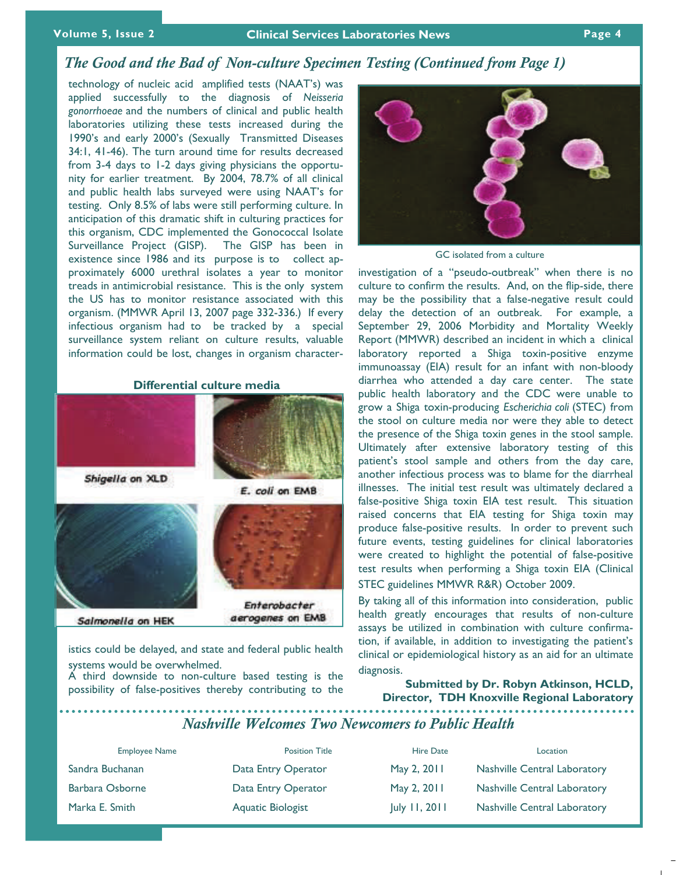# *The Good and the Bad of Non-culture Specimen Testing (Continued from Page 1)*

technology of nucleic acid amplified tests (NAAT's) was applied successfully to the diagnosis of *Neisseria gonorrhoeae* and the numbers of clinical and public health laboratories utilizing these tests increased during the 1990's and early 2000's (Sexually Transmitted Diseases 34:1, 41-46). The turn around time for results decreased from 3-4 days to 1-2 days giving physicians the opportunity for earlier treatment. By 2004, 78.7% of all clinical and public health labs surveyed were using NAAT's for testing. Only 8.5% of labs were still performing culture. In anticipation of this dramatic shift in culturing practices for this organism, CDC implemented the Gonococcal Isolate Surveillance Project (GISP). The GISP has been in existence since 1986 and its purpose is to collect approximately 6000 urethral isolates a year to monitor treads in antimicrobial resistance. This is the only system the US has to monitor resistance associated with this organism. (MMWR April 13, 2007 page 332-336.) If every infectious organism had to be tracked by a special surveillance system reliant on culture results, valuable information could be lost, changes in organism character-

### **Differential culture media**



istics could be delayed, and state and federal public health systems would be overwhelmed.

A third downside to non-culture based testing is the possibility of false-positives thereby contributing to the



GC isolated from a culture

investigation of a "pseudo-outbreak" when there is no culture to confirm the results. And, on the flip-side, there may be the possibility that a false-negative result could delay the detection of an outbreak. For example, a September 29, 2006 Morbidity and Mortality Weekly Report (MMWR) described an incident in which a clinical laboratory reported a Shiga toxin-positive enzyme immunoassay (EIA) result for an infant with non-bloody diarrhea who attended a day care center. The state public health laboratory and the CDC were unable to grow a Shiga toxin-producing *Escherichia coli* (STEC) from the stool on culture media nor were they able to detect the presence of the Shiga toxin genes in the stool sample. Ultimately after extensive laboratory testing of this patient's stool sample and others from the day care, another infectious process was to blame for the diarrheal illnesses. The initial test result was ultimately declared a false-positive Shiga toxin EIA test result. This situation raised concerns that EIA testing for Shiga toxin may produce false-positive results. In order to prevent such future events, testing guidelines for clinical laboratories were created to highlight the potential of false-positive test results when performing a Shiga toxin EIA (Clinical STEC guidelines MMWR R&R) October 2009.

By taking all of this information into consideration, public health greatly encourages that results of non-culture assays be utilized in combination with culture confirmation, if available, in addition to investigating the patient's clinical or epidemiological history as an aid for an ultimate diagnosis.

**Submitted by Dr. Robyn Atkinson, HCLD, Director, TDH Knoxville Regional Laboratory** 

*Nashville Welcomes Two Newcomers to Public Health* 

| <b>Employee Name</b> | <b>Position Title</b> | <b>Hire Date</b>                          | Location                            |
|----------------------|-----------------------|-------------------------------------------|-------------------------------------|
| Sandra Buchanan      | Data Entry Operator   | May 2, 2011                               | <b>Nashville Central Laboratory</b> |
| Barbara Osborne      | Data Entry Operator   | May 2, 2011                               | <b>Nashville Central Laboratory</b> |
| Marka E. Smith       | Aquatic Biologist     | $\vert \text{uly } \vert \text{1, } 2011$ | Nashville Central Laboratory        |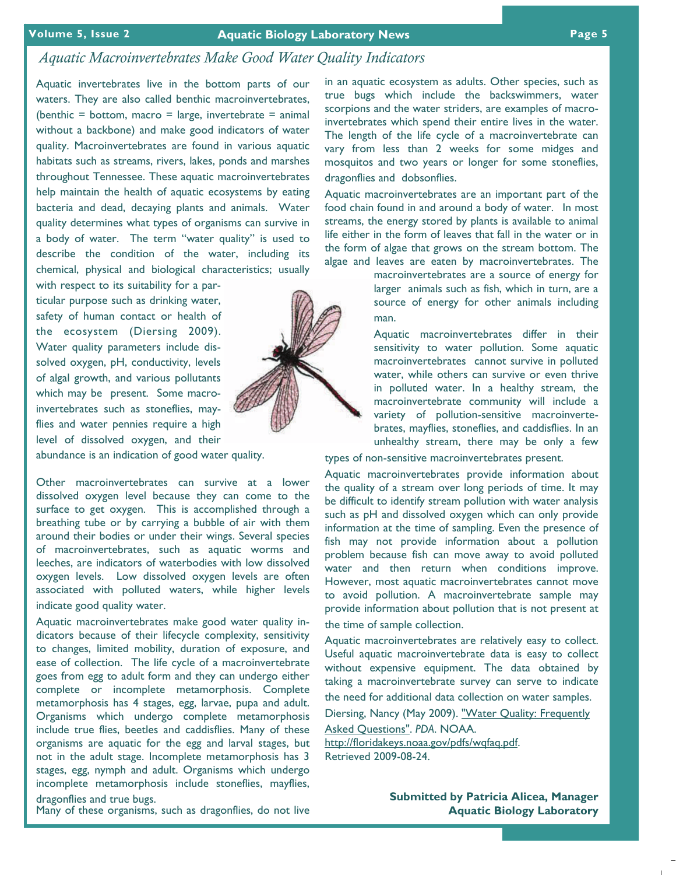### **Volume 5, Issue 2 Aquatic Biology Laboratory News Page 5**

# *Aquatic Macroinvertebrates Make Good Water Quality Indicators*

Aquatic invertebrates live in the bottom parts of our waters. They are also called benthic macroinvertebrates, (benthic = bottom, macro = large, invertebrate = animal without a backbone) and make good indicators of water quality. Macroinvertebrates are found in various aquatic habitats such as streams, rivers, lakes, ponds and marshes throughout Tennessee. These aquatic macroinvertebrates help maintain the health of aquatic ecosystems by eating bacteria and dead, decaying plants and animals. Water quality determines what types of organisms can survive in a body of water. The term "water quality" is used to describe the condition of the water, including its chemical, physical and biological characteristics; usually

with respect to its suitability for a particular purpose such as drinking water, safety of human contact or health of the ecosystem (Diersing 2009). Water quality parameters include dissolved oxygen, pH, conductivity, levels of algal growth, and various pollutants which may be present. Some macroinvertebrates such as stoneflies, mayflies and water pennies require a high level of dissolved oxygen, and their

abundance is an indication of good water quality.

Other macroinvertebrates can survive at a lower dissolved oxygen level because they can come to the surface to get oxygen. This is accomplished through a breathing tube or by carrying a bubble of air with them around their bodies or under their wings. Several species of macroinvertebrates, such as aquatic worms and leeches, are indicators of waterbodies with low dissolved oxygen levels. Low dissolved oxygen levels are often associated with polluted waters, while higher levels indicate good quality water.

Aquatic macroinvertebrates make good water quality indicators because of their lifecycle complexity, sensitivity to changes, limited mobility, duration of exposure, and ease of collection. The life cycle of a macroinvertebrate goes from egg to adult form and they can undergo either complete or incomplete metamorphosis. Complete metamorphosis has 4 stages, egg, larvae, pupa and adult. Organisms which undergo complete metamorphosis include true flies, beetles and caddisflies. Many of these organisms are aquatic for the egg and larval stages, but not in the adult stage. Incomplete metamorphosis has 3 stages, egg, nymph and adult. Organisms which undergo incomplete metamorphosis include stoneflies, mayflies, dragonflies and true bugs.

Many of these organisms, such as dragonflies, do not live

in an aquatic ecosystem as adults. Other species, such as true bugs which include the backswimmers, water scorpions and the water striders, are examples of macroinvertebrates which spend their entire lives in the water. The length of the life cycle of a macroinvertebrate can vary from less than 2 weeks for some midges and mosquitos and two years or longer for some stoneflies, dragonflies and dobsonflies.

Aquatic macroinvertebrates are an important part of the food chain found in and around a body of water. In most streams, the energy stored by plants is available to animal life either in the form of leaves that fall in the water or in the form of algae that grows on the stream bottom. The algae and leaves are eaten by macroinvertebrates. The

> macroinvertebrates are a source of energy for larger animals such as fish, which in turn, are a source of energy for other animals including man.

> Aquatic macroinvertebrates differ in their sensitivity to water pollution. Some aquatic macroinvertebrates cannot survive in polluted water, while others can survive or even thrive in polluted water. In a healthy stream, the macroinvertebrate community will include a variety of pollution-sensitive macroinvertebrates, mayflies, stoneflies, and caddisflies. In an unhealthy stream, there may be only a few

types of non-sensitive macroinvertebrates present.

Aquatic macroinvertebrates provide information about the quality of a stream over long periods of time. It may be difficult to identify stream pollution with water analysis such as pH and dissolved oxygen which can only provide information at the time of sampling. Even the presence of fish may not provide information about a pollution problem because fish can move away to avoid polluted water and then return when conditions improve. However, most aquatic macroinvertebrates cannot move to avoid pollution. A macroinvertebrate sample may provide information about pollution that is not present at the time of sample collection.

Aquatic macroinvertebrates are relatively easy to collect. Useful aquatic macroinvertebrate data is easy to collect without expensive equipment. The data obtained by taking a macroinvertebrate survey can serve to indicate the need for additional data collection on water samples.

Diersing, Nancy (May 2009). "Water Quality: Frequently

Asked Questions". *PDA*. NOAA. htt[p://floridakeys.noaa](http://floridakeys.noaa.gov/pdfs/wqfaq.pdf).gov/pdfs/wqfaq.pdf. Re[trieved 2009-08-24.](http://floridakeys.noaa.gov/pdfs/wqfaq.pdf) 

> **Submitted by Patricia Alicea, Manager Aquatic Biology Laboratory**